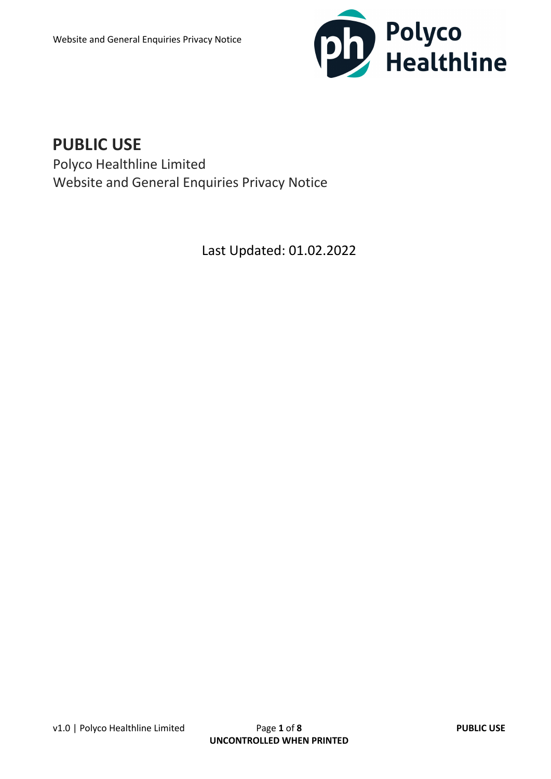

# **PUBLIC USE**

Polyco Healthline Limited Website and General Enquiries Privacy Notice

Last Updated: 01.02.2022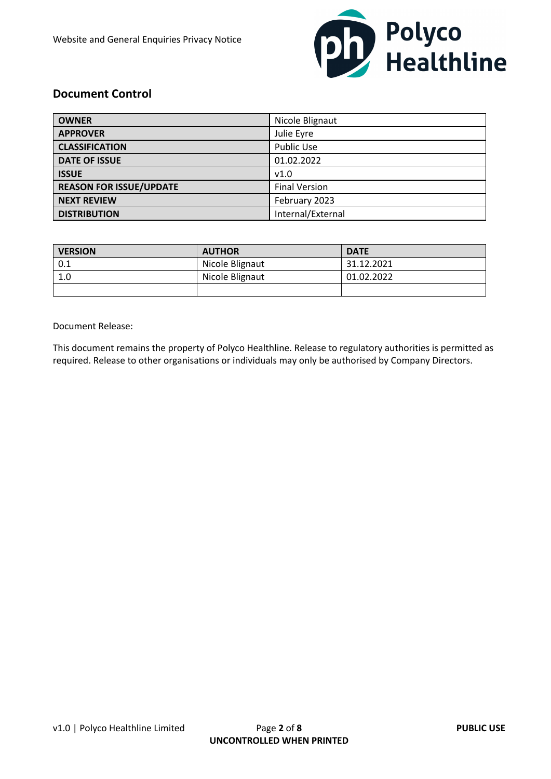

### **Document Control**

| <b>OWNER</b>                   | Nicole Blignaut      |
|--------------------------------|----------------------|
| <b>APPROVER</b>                | Julie Eyre           |
| <b>CLASSIFICATION</b>          | <b>Public Use</b>    |
| <b>DATE OF ISSUE</b>           | 01.02.2022           |
| <b>ISSUE</b>                   | v1.0                 |
| <b>REASON FOR ISSUE/UPDATE</b> | <b>Final Version</b> |
| <b>NEXT REVIEW</b>             | February 2023        |
| <b>DISTRIBUTION</b>            | Internal/External    |

| <b>VERSION</b> | <b>AUTHOR</b>   | <b>DATE</b> |
|----------------|-----------------|-------------|
| 0.1            | Nicole Blignaut | 31.12.2021  |
| 1.0            | Nicole Blignaut | 01.02.2022  |
|                |                 |             |

Document Release:

This document remains the property of Polyco Healthline. Release to regulatory authorities is permitted as required. Release to other organisations or individuals may only be authorised by Company Directors.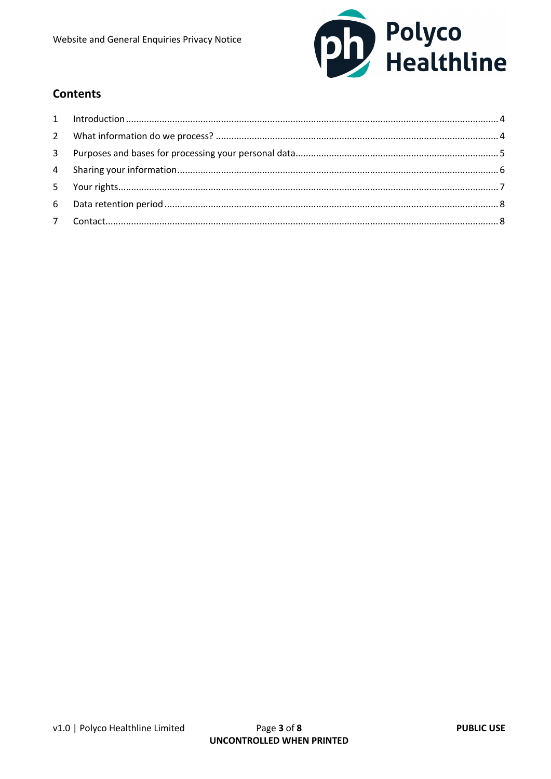

## **Contents**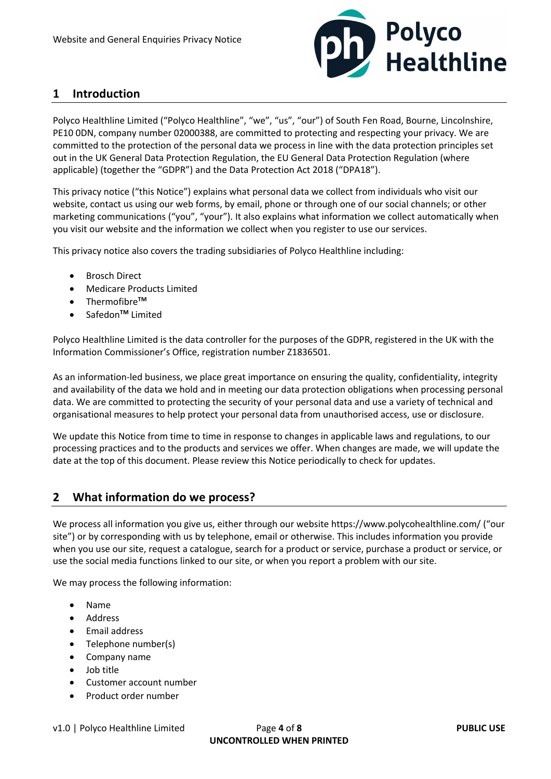

### **1 Introduction**

Polyco Healthline Limited ("Polyco Healthline", "we", "us", "our") of South Fen Road, Bourne, Lincolnshire, PE10 0DN, company number 02000388, are committed to protecting and respecting your privacy. We are committed to the protection of the personal data we process in line with the data protection principles set out in the UK General Data Protection Regulation, the EU General Data Protection Regulation (where applicable) (together the "GDPR") and the Data Protection Act 2018 ("DPA18").

This privacy notice ("this Notice") explains what personal data we collect from individuals who visit our website, contact us using our web forms, by email, phone or through one of our social channels; or other marketing communications ("you", "your"). It also explains what information we collect automatically when you visit our website and the information we collect when you register to use our services.

This privacy notice also covers the trading subsidiaries of Polyco Healthline including:

- Brosch Direct
- Medicare Products Limited
- Thermofibre**TM**
- Safedon**TM** Limited

Polyco Healthline Limited is the data controller for the purposes of the GDPR, registered in the UK with the Information Commissioner's Office, registration number Z1836501.

As an information-led business, we place great importance on ensuring the quality, confidentiality, integrity and availability of the data we hold and in meeting our data protection obligations when processing personal data. We are committed to protecting the security of your personal data and use a variety of technical and organisational measures to help protect your personal data from unauthorised access, use or disclosure.

We update this Notice from time to time in response to changes in applicable laws and regulations, to our processing practices and to the products and services we offer. When changes are made, we will update the date at the top of this document. Please review this Notice periodically to check for updates.

#### **2 What information do we process?**

We process all information you give us, either through our website https://www.polycohealthline.com/ ("our site") or by corresponding with us by telephone, email or otherwise. This includes information you provide when you use our site, request a catalogue, search for a product or service, purchase a product or service, or use the social media functions linked to our site, or when you report a problem with our site.

We may process the following information:

- Name
- Address
- Email address
- Telephone number(s)
- Company name
- Job title
- Customer account number
- Product order number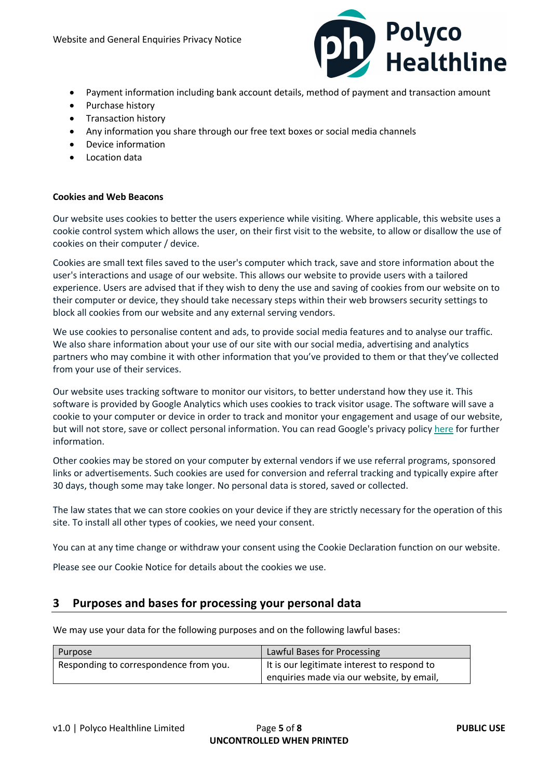

- Payment information including bank account details, method of payment and transaction amount
- Purchase history
- Transaction history
- Any information you share through our free text boxes or social media channels
- Device information
- Location data

#### **Cookies and Web Beacons**

Our website uses cookies to better the users experience while visiting. Where applicable, this website uses a cookie control system which allows the user, on their first visit to the website, to allow or disallow the use of cookies on their computer / device.

Cookies are small text files saved to the user's computer which track, save and store information about the user's interactions and usage of our website. This allows our website to provide users with a tailored experience. Users are advised that if they wish to deny the use and saving of cookies from our website on to their computer or device, they should take necessary steps within their web browsers security settings to block all cookies from our website and any external serving vendors.

We use cookies to personalise content and ads, to provide social media features and to analyse our traffic. We also share information about your use of our site with our social media, advertising and analytics partners who may combine it with other information that you've provided to them or that they've collected from your use of their services.

Our website uses tracking software to monitor our visitors, to better understand how they use it. This software is provided by Google Analytics which uses cookies to track visitor usage. The software will save a cookie to your computer or device in order to track and monitor your engagement and usage of our website, but will not store, save or collect personal information. You can read Google's privacy policy here for further information.

Other cookies may be stored on your computer by external vendors if we use referral programs, sponsored links or advertisements. Such cookies are used for conversion and referral tracking and typically expire after 30 days, though some may take longer. No personal data is stored, saved or collected.

The law states that we can store cookies on your device if they are strictly necessary for the operation of this site. To install all other types of cookies, we need your consent.

You can at any time change or withdraw your consent using the Cookie Declaration function on our website.

Please see our Cookie Notice for details about the cookies we use.

#### **3 Purposes and bases for processing your personal data**

We may use your data for the following purposes and on the following lawful bases:

| Purpose                                | Lawful Bases for Processing                 |
|----------------------------------------|---------------------------------------------|
| Responding to correspondence from you. | It is our legitimate interest to respond to |
|                                        | enquiries made via our website, by email,   |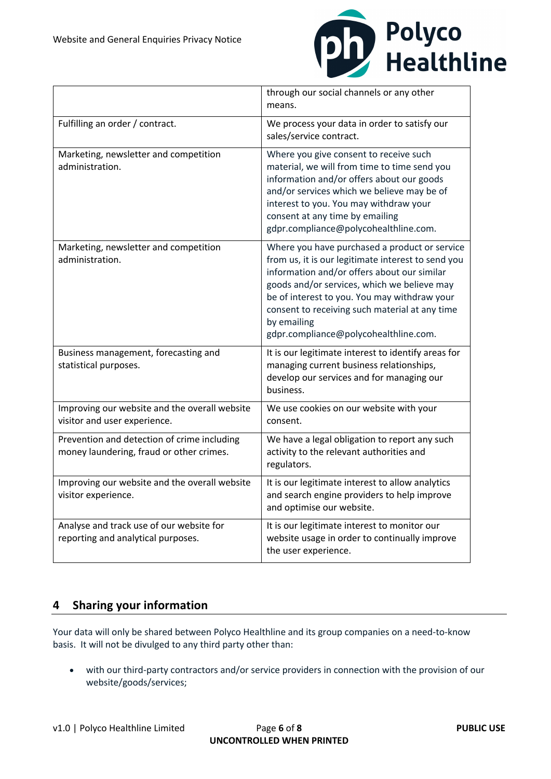

|                                                                                         | through our social channels or any other<br>means.                                                                                                                                                                                                                                                                                                          |
|-----------------------------------------------------------------------------------------|-------------------------------------------------------------------------------------------------------------------------------------------------------------------------------------------------------------------------------------------------------------------------------------------------------------------------------------------------------------|
| Fulfilling an order / contract.                                                         | We process your data in order to satisfy our<br>sales/service contract.                                                                                                                                                                                                                                                                                     |
| Marketing, newsletter and competition<br>administration.                                | Where you give consent to receive such<br>material, we will from time to time send you<br>information and/or offers about our goods<br>and/or services which we believe may be of<br>interest to you. You may withdraw your<br>consent at any time by emailing<br>gdpr.compliance@polycohealthline.com.                                                     |
| Marketing, newsletter and competition<br>administration.                                | Where you have purchased a product or service<br>from us, it is our legitimate interest to send you<br>information and/or offers about our similar<br>goods and/or services, which we believe may<br>be of interest to you. You may withdraw your<br>consent to receiving such material at any time<br>by emailing<br>gdpr.compliance@polycohealthline.com. |
| Business management, forecasting and<br>statistical purposes.                           | It is our legitimate interest to identify areas for<br>managing current business relationships,<br>develop our services and for managing our<br>business.                                                                                                                                                                                                   |
| Improving our website and the overall website<br>visitor and user experience.           | We use cookies on our website with your<br>consent.                                                                                                                                                                                                                                                                                                         |
| Prevention and detection of crime including<br>money laundering, fraud or other crimes. | We have a legal obligation to report any such<br>activity to the relevant authorities and<br>regulators.                                                                                                                                                                                                                                                    |
| Improving our website and the overall website<br>visitor experience.                    | It is our legitimate interest to allow analytics<br>and search engine providers to help improve<br>and optimise our website.                                                                                                                                                                                                                                |
| Analyse and track use of our website for<br>reporting and analytical purposes.          | It is our legitimate interest to monitor our<br>website usage in order to continually improve<br>the user experience.                                                                                                                                                                                                                                       |

## **4 Sharing your information**

Your data will only be shared between Polyco Healthline and its group companies on a need-to-know basis. It will not be divulged to any third party other than:

• with our third-party contractors and/or service providers in connection with the provision of our website/goods/services;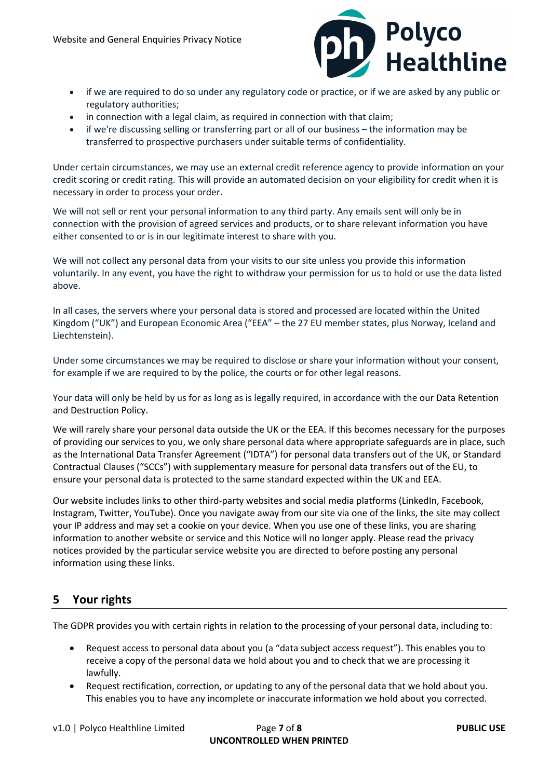

- if we are required to do so under any regulatory code or practice, or if we are asked by any public or regulatory authorities;
- in connection with a legal claim, as required in connection with that claim;
- if we're discussing selling or transferring part or all of our business the information may be transferred to prospective purchasers under suitable terms of confidentiality.

Under certain circumstances, we may use an external credit reference agency to provide information on your credit scoring or credit rating. This will provide an automated decision on your eligibility for credit when it is necessary in order to process your order.

We will not sell or rent your personal information to any third party. Any emails sent will only be in connection with the provision of agreed services and products, or to share relevant information you have either consented to or is in our legitimate interest to share with you.

We will not collect any personal data from your visits to our site unless you provide this information voluntarily. In any event, you have the right to withdraw your permission for us to hold or use the data listed above.

In all cases, the servers where your personal data is stored and processed are located within the United Kingdom ("UK") and European Economic Area ("EEA" – the 27 EU member states, plus Norway, Iceland and Liechtenstein).

Under some circumstances we may be required to disclose or share your information without your consent, for example if we are required to by the police, the courts or for other legal reasons.

Your data will only be held by us for as long as is legally required, in accordance with the our Data Retention and Destruction Policy.

We will rarely share your personal data outside the UK or the EEA. If this becomes necessary for the purposes of providing our services to you, we only share personal data where appropriate safeguards are in place, such as the International Data Transfer Agreement ("IDTA") for personal data transfers out of the UK, or Standard Contractual Clauses ("SCCs") with supplementary measure for personal data transfers out of the EU, to ensure your personal data is protected to the same standard expected within the UK and EEA.

Our website includes links to other third-party websites and social media platforms (LinkedIn, Facebook, Instagram, Twitter, YouTube). Once you navigate away from our site via one of the links, the site may collect your IP address and may set a cookie on your device. When you use one of these links, you are sharing information to another website or service and this Notice will no longer apply. Please read the privacy notices provided by the particular service website you are directed to before posting any personal information using these links.

### **5 Your rights**

The GDPR provides you with certain rights in relation to the processing of your personal data, including to:

- Request access to personal data about you (a "data subject access request"). This enables you to receive a copy of the personal data we hold about you and to check that we are processing it lawfully.
- Request rectification, correction, or updating to any of the personal data that we hold about you. This enables you to have any incomplete or inaccurate information we hold about you corrected.